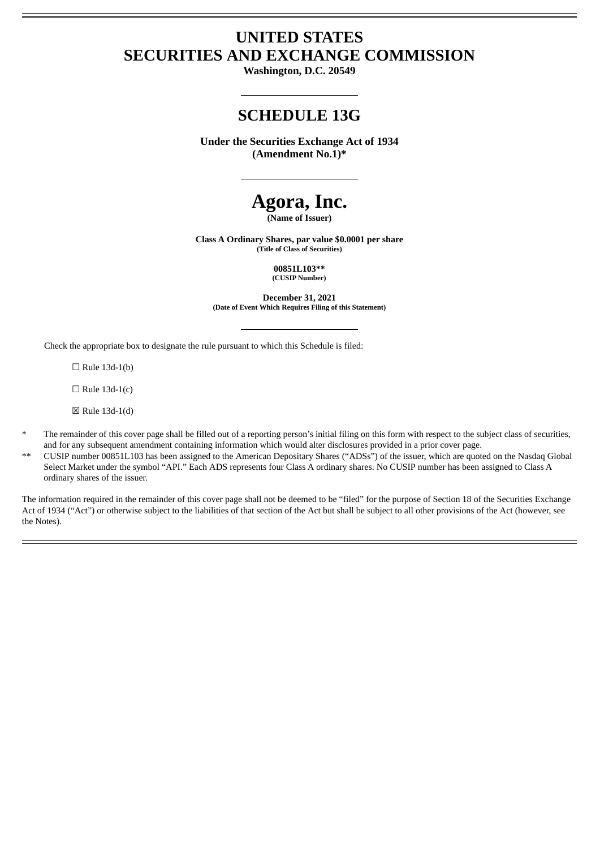# **UNITED STATES SECURITIES AND EXCHANGE COMMISSION**

**Washington, D.C. 20549**

# **SCHEDULE 13G**

**Under the Securities Exchange Act of 1934 (Amendment No.1)\***

# **Agora, Inc.**

**(Name of Issuer)**

**Class A Ordinary Shares, par value \$0.0001 per share (Title of Class of Securities)**

> **00851L103\*\* (CUSIP Number)**

**December 31, 2021 (Date of Event Which Requires Filing of this Statement)**

Check the appropriate box to designate the rule pursuant to which this Schedule is filed:

 $\Box$  Rule 13d-1(b)

 $\Box$  Rule 13d-1(c)

☒ Rule 13d-1(d)

- The remainder of this cover page shall be filled out of a reporting person's initial filing on this form with respect to the subject class of securities, and for any subsequent amendment containing information which would alter disclosures provided in a prior cover page.
- \*\* CUSIP number 00851L103 has been assigned to the American Depositary Shares ("ADSs") of the issuer, which are quoted on the Nasdaq Global Select Market under the symbol "API." Each ADS represents four Class A ordinary shares. No CUSIP number has been assigned to Class A ordinary shares of the issuer.

The information required in the remainder of this cover page shall not be deemed to be "filed" for the purpose of Section 18 of the Securities Exchange Act of 1934 ("Act") or otherwise subject to the liabilities of that section of the Act but shall be subject to all other provisions of the Act (however, see the Notes).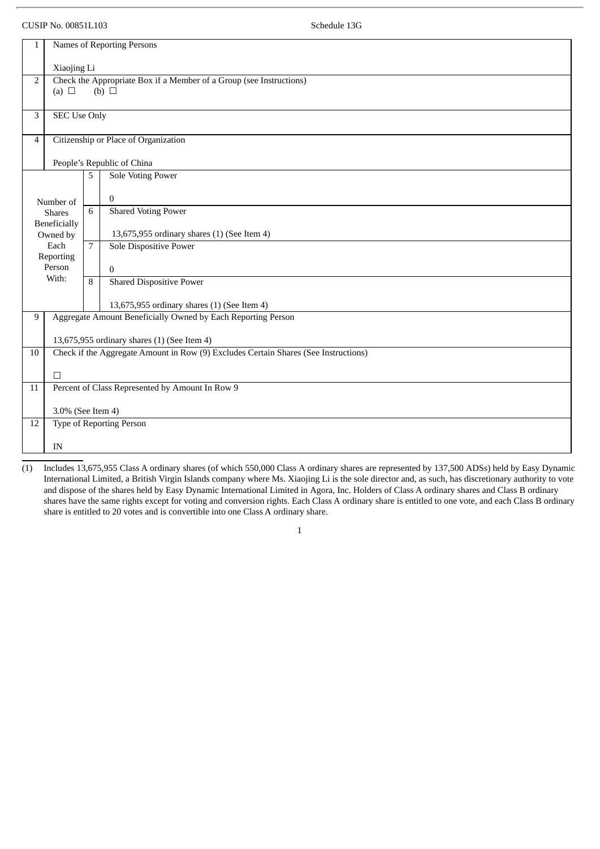#### CUSIP No. 00851L103 Schedule 13G

| Names of Reporting Persons<br>1                                                                      |                                      |                                                                 |  |  |  |  |  |  |
|------------------------------------------------------------------------------------------------------|--------------------------------------|-----------------------------------------------------------------|--|--|--|--|--|--|
| Xiaojing Li                                                                                          |                                      |                                                                 |  |  |  |  |  |  |
| Check the Appropriate Box if a Member of a Group (see Instructions)<br>$(b)$ $\square$<br>(a) $\Box$ |                                      |                                                                 |  |  |  |  |  |  |
| <b>SEC Use Only</b>                                                                                  |                                      |                                                                 |  |  |  |  |  |  |
|                                                                                                      | Citizenship or Place of Organization |                                                                 |  |  |  |  |  |  |
|                                                                                                      |                                      | People's Republic of China                                      |  |  |  |  |  |  |
|                                                                                                      | 5                                    | <b>Sole Voting Power</b>                                        |  |  |  |  |  |  |
| Number of<br><b>Shares</b><br>Beneficially<br>Owned by                                               |                                      | $\mathbf{0}$                                                    |  |  |  |  |  |  |
|                                                                                                      |                                      | <b>Shared Voting Power</b>                                      |  |  |  |  |  |  |
|                                                                                                      |                                      | 13,675,955 ordinary shares (1) (See Item 4)                     |  |  |  |  |  |  |
| Each                                                                                                 |                                      | Sole Dispositive Power                                          |  |  |  |  |  |  |
| Person                                                                                               |                                      | $\Omega$                                                        |  |  |  |  |  |  |
|                                                                                                      |                                      | <b>Shared Dispositive Power</b>                                 |  |  |  |  |  |  |
|                                                                                                      |                                      | 13,675,955 ordinary shares (1) (See Item 4)                     |  |  |  |  |  |  |
| Aggregate Amount Beneficially Owned by Each Reporting Person<br>9                                    |                                      |                                                                 |  |  |  |  |  |  |
| 13,675,955 ordinary shares (1) (See Item 4)                                                          |                                      |                                                                 |  |  |  |  |  |  |
| Check if the Aggregate Amount in Row (9) Excludes Certain Shares (See Instructions)<br>10            |                                      |                                                                 |  |  |  |  |  |  |
| $\Box$                                                                                               |                                      |                                                                 |  |  |  |  |  |  |
| Percent of Class Represented by Amount In Row 9<br>$11\,$                                            |                                      |                                                                 |  |  |  |  |  |  |
| 3.0% (See Item 4)                                                                                    |                                      |                                                                 |  |  |  |  |  |  |
|                                                                                                      |                                      |                                                                 |  |  |  |  |  |  |
| IN                                                                                                   |                                      |                                                                 |  |  |  |  |  |  |
|                                                                                                      | Reporting<br>With:                   | 6<br>$\overline{7}$<br>$\mathsf{R}$<br>Type of Reporting Person |  |  |  |  |  |  |

(1) Includes 13,675,955 Class A ordinary shares (of which 550,000 Class A ordinary shares are represented by 137,500 ADSs) held by Easy Dynamic International Limited, a British Virgin Islands company where Ms. Xiaojing Li is the sole director and, as such, has discretionary authority to vote and dispose of the shares held by Easy Dynamic International Limited in Agora, Inc. Holders of Class A ordinary shares and Class B ordinary shares have the same rights except for voting and conversion rights. Each Class A ordinary share is entitled to one vote, and each Class B ordinary share is entitled to 20 votes and is convertible into one Class A ordinary share.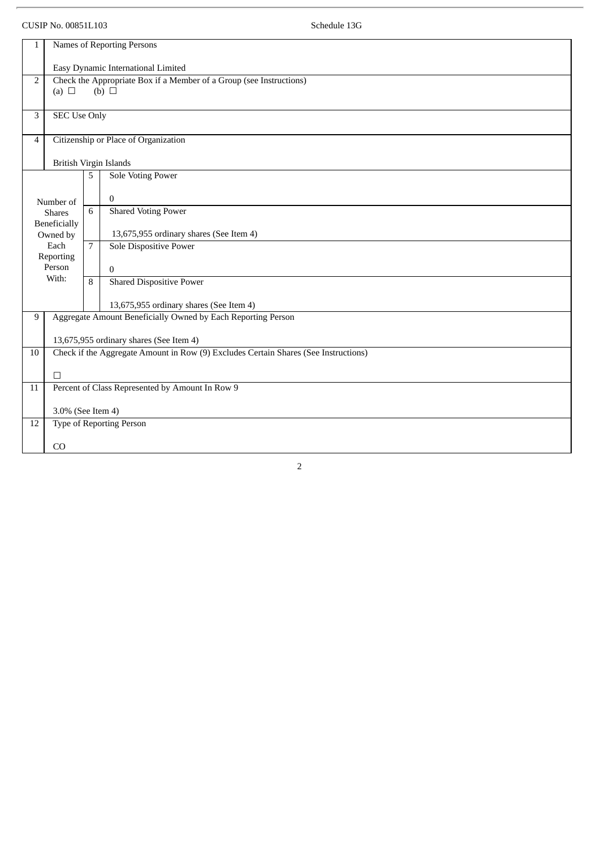# CUSIP No. 00851L103 Schedule 13G

| $\mathbf{1}$                                                             | Names of Reporting Persons                                                          |   |                                                              |  |  |  |  |  |  |  |
|--------------------------------------------------------------------------|-------------------------------------------------------------------------------------|---|--------------------------------------------------------------|--|--|--|--|--|--|--|
|                                                                          |                                                                                     |   |                                                              |  |  |  |  |  |  |  |
|                                                                          | Easy Dynamic International Limited                                                  |   |                                                              |  |  |  |  |  |  |  |
| Check the Appropriate Box if a Member of a Group (see Instructions)<br>2 |                                                                                     |   |                                                              |  |  |  |  |  |  |  |
|                                                                          | (b) $\Box$<br>(a) $\Box$                                                            |   |                                                              |  |  |  |  |  |  |  |
|                                                                          |                                                                                     |   |                                                              |  |  |  |  |  |  |  |
| 3                                                                        | <b>SEC Use Only</b>                                                                 |   |                                                              |  |  |  |  |  |  |  |
|                                                                          |                                                                                     |   |                                                              |  |  |  |  |  |  |  |
| $\overline{4}$                                                           | Citizenship or Place of Organization                                                |   |                                                              |  |  |  |  |  |  |  |
|                                                                          |                                                                                     |   |                                                              |  |  |  |  |  |  |  |
|                                                                          | British Virgin Islands                                                              |   |                                                              |  |  |  |  |  |  |  |
|                                                                          |                                                                                     | 5 | <b>Sole Voting Power</b>                                     |  |  |  |  |  |  |  |
|                                                                          |                                                                                     |   |                                                              |  |  |  |  |  |  |  |
|                                                                          | Number of                                                                           |   | $\mathbf{0}$                                                 |  |  |  |  |  |  |  |
|                                                                          | <b>Shares</b>                                                                       |   | <b>Shared Voting Power</b>                                   |  |  |  |  |  |  |  |
|                                                                          | Beneficially                                                                        |   |                                                              |  |  |  |  |  |  |  |
|                                                                          | Owned by                                                                            |   | 13,675,955 ordinary shares (See Item 4)                      |  |  |  |  |  |  |  |
|                                                                          | Each                                                                                |   | Sole Dispositive Power                                       |  |  |  |  |  |  |  |
|                                                                          | Reporting                                                                           |   |                                                              |  |  |  |  |  |  |  |
|                                                                          | Person                                                                              |   | $\mathbf{0}$                                                 |  |  |  |  |  |  |  |
|                                                                          | With:                                                                               |   | <b>Shared Dispositive Power</b>                              |  |  |  |  |  |  |  |
|                                                                          |                                                                                     |   |                                                              |  |  |  |  |  |  |  |
|                                                                          |                                                                                     |   | 13,675,955 ordinary shares (See Item 4)                      |  |  |  |  |  |  |  |
| 9                                                                        |                                                                                     |   | Aggregate Amount Beneficially Owned by Each Reporting Person |  |  |  |  |  |  |  |
|                                                                          |                                                                                     |   |                                                              |  |  |  |  |  |  |  |
|                                                                          | 13,675,955 ordinary shares (See Item 4)                                             |   |                                                              |  |  |  |  |  |  |  |
| 10                                                                       | Check if the Aggregate Amount in Row (9) Excludes Certain Shares (See Instructions) |   |                                                              |  |  |  |  |  |  |  |
|                                                                          |                                                                                     |   |                                                              |  |  |  |  |  |  |  |
|                                                                          | $\Box$                                                                              |   |                                                              |  |  |  |  |  |  |  |
| 11                                                                       | Percent of Class Represented by Amount In Row 9                                     |   |                                                              |  |  |  |  |  |  |  |
|                                                                          |                                                                                     |   |                                                              |  |  |  |  |  |  |  |
|                                                                          | 3.0% (See Item 4)                                                                   |   |                                                              |  |  |  |  |  |  |  |
| 12                                                                       | Type of Reporting Person                                                            |   |                                                              |  |  |  |  |  |  |  |
|                                                                          |                                                                                     |   |                                                              |  |  |  |  |  |  |  |
|                                                                          | CO                                                                                  |   |                                                              |  |  |  |  |  |  |  |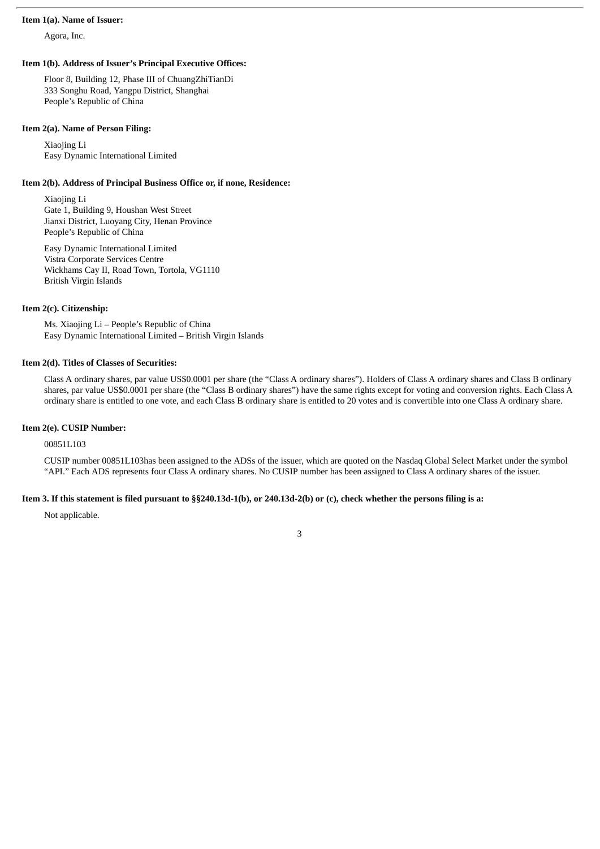#### **Item 1(a). Name of Issuer:**

Agora, Inc.

#### **Item 1(b). Address of Issuer's Principal Executive Offices:**

Floor 8, Building 12, Phase III of ChuangZhiTianDi 333 Songhu Road, Yangpu District, Shanghai People's Republic of China

#### **Item 2(a). Name of Person Filing:**

Xiaojing Li Easy Dynamic International Limited

#### **Item 2(b). Address of Principal Business Office or, if none, Residence:**

Xiaojing Li Gate 1, Building 9, Houshan West Street Jianxi District, Luoyang City, Henan Province People's Republic of China

Easy Dynamic International Limited Vistra Corporate Services Centre Wickhams Cay II, Road Town, Tortola, VG1110 British Virgin Islands

#### **Item 2(c). Citizenship:**

Ms. Xiaojing Li – People's Republic of China Easy Dynamic International Limited – British Virgin Islands

#### **Item 2(d). Titles of Classes of Securities:**

Class A ordinary shares, par value US\$0.0001 per share (the "Class A ordinary shares"). Holders of Class A ordinary shares and Class B ordinary shares, par value US\$0.0001 per share (the "Class B ordinary shares") have the same rights except for voting and conversion rights. Each Class A ordinary share is entitled to one vote, and each Class B ordinary share is entitled to 20 votes and is convertible into one Class A ordinary share.

#### **Item 2(e). CUSIP Number:**

00851L103

CUSIP number 00851L103has been assigned to the ADSs of the issuer, which are quoted on the Nasdaq Global Select Market under the symbol "API." Each ADS represents four Class A ordinary shares. No CUSIP number has been assigned to Class A ordinary shares of the issuer.

#### Item 3. If this statement is filed pursuant to §§240.13d-1(b), or 240.13d-2(b) or (c), check whether the persons filing is a:

Not applicable.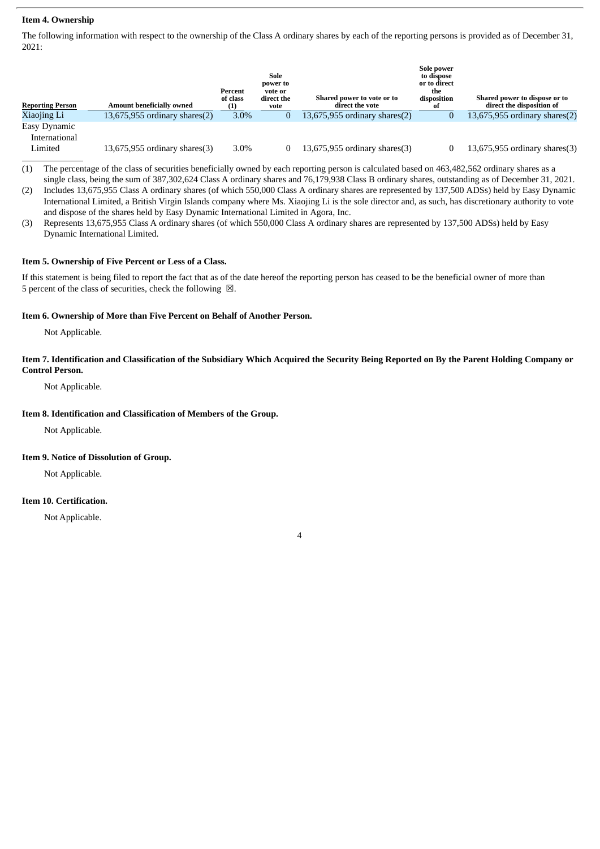## **Item 4. Ownership**

The following information with respect to the ownership of the Class A ordinary shares by each of the reporting persons is provided as of December 31, 2021:

| <b>Reporting Person</b> | Amount beneficially owned          | Percent<br>of class | Sole<br>power to<br>vote or<br>direct the<br>vote | Shared power to vote or to<br>direct the vote | Sole power<br>to dispose<br>or to direct<br>the<br>disposition | Shared power to dispose or to<br>direct the disposition of |
|-------------------------|------------------------------------|---------------------|---------------------------------------------------|-----------------------------------------------|----------------------------------------------------------------|------------------------------------------------------------|
| Xiaojing Li             | $13,675,955$ ordinary shares $(2)$ | $3.0\%$             |                                                   | $13,675,955$ ordinary shares $(2)$            |                                                                | $13,675,955$ ordinary shares $(2)$                         |
| Easy Dynamic            |                                    |                     |                                                   |                                               |                                                                |                                                            |
| International           |                                    |                     |                                                   |                                               |                                                                |                                                            |
| Limited                 | $13,675,955$ ordinary shares $(3)$ | 3.0%                |                                                   | $13,675,955$ ordinary shares $(3)$            |                                                                | $13,675,955$ ordinary shares $(3)$                         |

(1) The percentage of the class of securities beneficially owned by each reporting person is calculated based on 463,482,562 ordinary shares as a single class, being the sum of 387,302,624 Class A ordinary shares and 76,179,938 Class B ordinary shares, outstanding as of December 31, 2021.

(2) Includes 13,675,955 Class A ordinary shares (of which 550,000 Class A ordinary shares are represented by 137,500 ADSs) held by Easy Dynamic International Limited, a British Virgin Islands company where Ms. Xiaojing Li is the sole director and, as such, has discretionary authority to vote and dispose of the shares held by Easy Dynamic International Limited in Agora, Inc.

(3) Represents 13,675,955 Class A ordinary shares (of which 550,000 Class A ordinary shares are represented by 137,500 ADSs) held by Easy Dynamic International Limited.

# **Item 5. Ownership of Five Percent or Less of a Class.**

If this statement is being filed to report the fact that as of the date hereof the reporting person has ceased to be the beneficial owner of more than 5 percent of the class of securities, check the following  $\boxtimes$ .

# **Item 6. Ownership of More than Five Percent on Behalf of Another Person.**

Not Applicable.

# Item 7. Identification and Classification of the Subsidiary Which Acquired the Security Being Reported on By the Parent Holding Company or **Control Person.**

Not Applicable.

# **Item 8. Identification and Classification of Members of the Group.**

Not Applicable.

#### **Item 9. Notice of Dissolution of Group.**

Not Applicable.

## **Item 10. Certification.**

Not Applicable.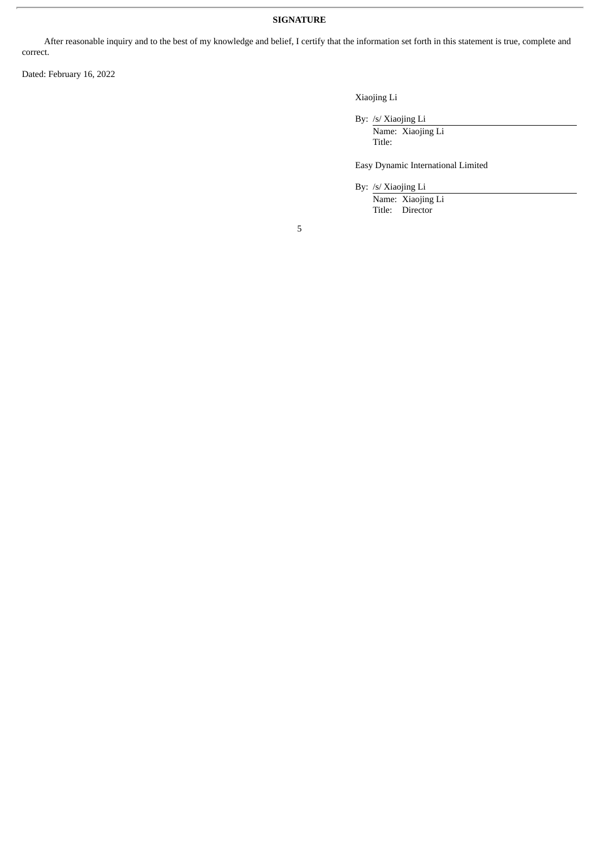# **SIGNATURE**

After reasonable inquiry and to the best of my knowledge and belief, I certify that the information set forth in this statement is true, complete and correct.

Dated: February 16, 2022

Xiaojing Li

By: /s/ Xiaojing Li

Name: Xiaojing Li Title:

Easy Dynamic International Limited

By: /s/ Xiaojing Li

Name: Xiaojing Li Title: Director